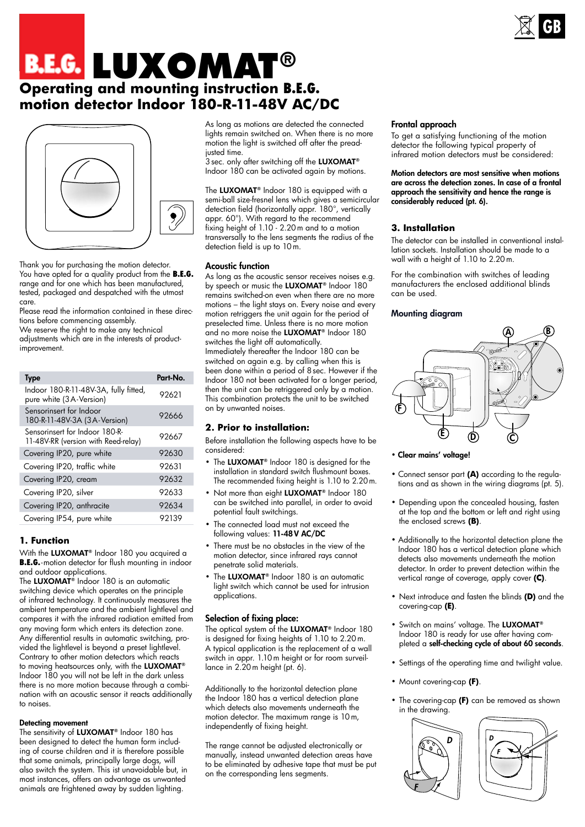

# **Operating and mounting instruction B.E.G. motion detector Indoor 180-R-11-48V AC/DC B.E.G. LUXOMAT®**



Thank you for purchasing the motion detector. You have opted for a quality product from the **B.E.G.** range and for one which has been manufactured, tested, packaged and despatched with the utmost care.

Please read the information contained in these directions before commencing assembly.

We reserve the right to make any technical adjustments which are in the interests of productimprovement.

| <b>Type</b>                                                           | Part-No. |
|-----------------------------------------------------------------------|----------|
| Indoor 180-R-11-48V-3A, fully fitted,<br>pure white (3A-Version)      | 92621    |
| Sensorinsert for Indoor<br>180-R-11-48V-3A (3A-Version)               | 92666    |
| Sensorinsert for Indoor 180-R-<br>11-48V-RR (version with Reed-relay) | 92667    |
| Covering IP20, pure white                                             | 92630    |
| Covering IP20, traffic white                                          | 92631    |
| Covering IP20, cream                                                  | 92632    |
| Covering IP20, silver                                                 | 92633    |
| Covering IP20, anthracite                                             | 92634    |
| Covering IP54, pure white                                             | 92139    |

# **1. Function**

With the LUXOMAT<sup>®</sup> Indoor 180 you acquired a **B.E.G.**-motion detector for flush mounting in indoor and outdoor applications.

The LUXOMAT<sup>®</sup> Indoor 180 is an automatic switching device which operates on the principle of infrared technology. It continuously measures the ambient temperature and the ambient lightlevel and compares it with the infrared radiation emitted from any moving form which enters its detection zone. Any differential results in automatic switching, provided the lightlevel is beyond a preset lightlevel. Contrary to other motion detectors which reacts to moving heatsources only, with the LUXOMAT® Indoor 180 you will not be left in the dark unless there is no more motion because through a combination with an acoustic sensor it reacts additionally to noises.

#### Detecting movement

The sensitivity of LUXOMAT® Indoor 180 has been designed to detect the human form including of course children and it is therefore possible that some animals, principally large dogs, will also switch the system. This ist unavoidable but, in most instances, offers an advantage as unwanted animals are frightened away by sudden lighting.

As long as motions are detected the connected lights remain switched on. When there is no more motion the light is switched off after the preadjusted time.

3 sec. only after switching off the LUXOMAT® Indoor 180 can be activated again by motions.

The LUXOMAT<sup>®</sup> Indoor 180 is equipped with a semi-ball size-fresnel lens which gives a semicircular detection field (horizontally appr. 180°, vertically appr. 60°). With regard to the recommend fixing height of 1.10 - 2.20m and to a motion transversally to the lens segments the radius of the detection field is up to 10m.

## Acoustic function

As long as the acoustic sensor receives noises e.g. by speech or music the LUXOMAT<sup>®</sup> Indoor 180 remains switched-on even when there are no more motions – the light stays on. Every noise and every motion retriggers the unit again for the period of preselected time. Unless there is no more motion and no more noise the LUXOMAT® Indoor 180 switches the light off automatically. Immediately thereafter the Indoor 180 can be switched on again e.g. by calling when this is been done within a period of 8sec. However if the Indoor 180 not been activated for a longer period, then the unit can be retriggered only by  $\alpha$  motion. This combination protects the unit to be switched on by unwanted noises.

## **2. Prior to installation:**

Before installation the following aspects have to be considered:

- The LUXOMAT<sup>®</sup> Indoor 180 is designed for the installation in standard switch flushmount boxes. The recommended fixing height is 1.10 to 2.20m.
- Not more than eight LUXOMAT® Indoor 180 can be switched into parallel, in order to avoid potential fault switchings.
- The connected load must not exceed the following values: 11-48 V AC/DC
- There must be no obstacles in the view of the motion detector, since infrared rays cannot penetrate solid materials.
- The LUXOMAT<sup>®</sup> Indoor 180 is an automatic light switch which cannot be used for intrusion applications.

## Selection of fixing place:

The optical system of the LUXOMAT® Indoor 180 is designed for fixing heights of 1.10 to 2.20m. A typical application is the replacement of a wall switch in appr. 1.10m height or for room surveillance in 2.20m height (pt. 6).

Additionally to the horizontal detection plane the Indoor 180 has a vertical detection plane which detects also movements underneath the motion detector. The maximum range is 10m, independently of fixing height.

The range cannot be adjusted electronically or manually, instead unwanted detection areas have to be eliminated by adhesive tape that must be put on the corresponding lens segments.

#### Frontal approach

To get a satisfying functioning of the motion detector the following typical property of infrared motion detectors must be considered:

Motion detectors are most sensitive when motions are across the detection zones. In case of a frontal approach the sensitivity and hence the range is considerably reduced (pt. 6).

## **3. Installation**

The detector can be installed in conventional installation sockets. Installation should be made to a wall with a height of 1.10 to 2.20m.

For the combination with switches of leading manufacturers the enclosed additional blinds can be used.

#### Mounting diagram



• Clear mains' voltage!

- Connect sensor part **(A)** according to the regulations and as shown in the wiring diagrams (pt. 5).
- Depending upon the concealed housing, fasten at the top and the bottom or left and right using the enclosed screws **(B)**.
- Additionally to the horizontal detection plane the Indoor 180 has a vertical detection plane which detects also movements underneath the motion detector. In order to prevent detection within the vertical range of coverage, apply cover **(C)**.
- Next introduce and fasten the blinds **(D)** and the covering-cap **(E)**.
- Switch on mains' voltage. The LUXOMAT® Indoor 180 is ready for use after having completed a self-checking cycle of about 60 seconds.
- Settings of the operating time and twilight value.
- Mount covering-cap **(F)**.
- The covering-cap **(F)** can be removed as shown in the drawing.